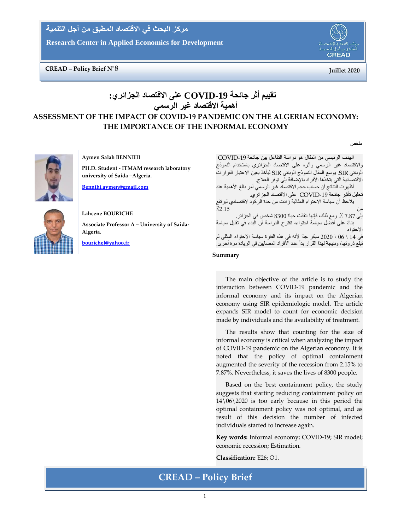مركز البحث في الاقتصاد المطبق من أجل التنمية

**Research Center in Applied Economics for Development**

# **CREAD –** Policy Brief N° 8 (and  $\overline{a}$ ) and  $\overline{b}$  and  $\overline{c}$  and  $\overline{d}$  and  $\overline{e}$  and  $\overline{e}$  and  $\overline{e}$  and  $\overline{e}$  and  $\overline{e}$  and  $\overline{e}$  and  $\overline{e}$  and  $\overline{e}$  and  $\overline{e}$  and  $\overline{e}$  and  $\overline{e$



**ملخص**

# **تقييم أثر جائحة -19COVID على االقتصاد الجزائري: أهمية االقتصاد غير الرسمي**

# **ASSESSMENT OF THE IMPACT OF COVID-19 PANDEMIC ON THE ALGERIAN ECONOMY: THE IMPORTANCE OF THE INFORMAL ECONOMY**



**Aymen Salah BENNIHI**

**PH.D. Student - ITMAM research laboratory university of Saida –Algeria.**

**[Bennihi.aymen@gmail.com](mailto:Bennihi.aymen@gmail.com)**



# **Lahcene BOURICHE Associate Professor A – University of Saida-Algeria.**

**[bourichel@yahoo.fr](mailto:bourichel@yahoo.fr)**

الهدف الرئيسي من المقال هو دراسة التفاعل بين جائحة -19COVID واالقتصاد غير الرسمي وأثره على االقتصاد الجزائري باستخدام النموذج الوبائي SIR. يوسع المقال النموذج الوبائي SIR ليأخذ بعين االعتبار القرارات الاقتصادية التي يتخذها الأفراد بالإضافة إلى توفر العلاج. أظهرت النتائج أن حساب حجم االقتصاد غير الرسمي أمر بالغ األهمية عند تحليل تأثير جائحة -19COVID على االقتصاد الجزائري. يالحظ أن سياسة االحتواء المثالية زادت من حدة الركود القتصادي ليرتفع من ٪2.15 إلى 7.87 .٪ ومع ذلك، فإنها انقذت حياة 8300 شخص في الجزائر. بناءً على أفضل سياسة احتواء، تقترح الدراسة أن الّبدء في تقليل سياسة االحتواء في 14 \ 06 \ 2020 مبكر جدًا لأنه في هذه الفترة سياسة الاحتواء المثلى لم تبلغ ذروتها، ونتيجة لهذا القرار بدأ عدد األفراد المصابين في الزيادة مرة أخرى.

#### **Summary**

The main objective of the article is to study the interaction between COVID-19 pandemic and the informal economy and its impact on the Algerian economy using SIR epidemiologic model. The article expands SIR model to count for economic decision made by individuals and the availability of treatment.

The results show that counting for the size of informal economy is critical when analyzing the impact of COVID-19 pandemic on the Algerian economy. It is noted that the policy of optimal containment augmented the severity of the recession from 2.15% to 7.87%. Nevertheless, it saves the lives of 8300 people.

Based on the best containment policy, the study suggests that starting reducing containment policy on 14\06\2020 is too early because in this period the optimal containment policy was not optimal, and as result of this decision the number of infected individuals started to increase again.

**Key words:** Informal economy; COVID-19; SIR model; economic recession; Estimation.

**Classification:** E26; O1.

# **CREAD – Policy Brief**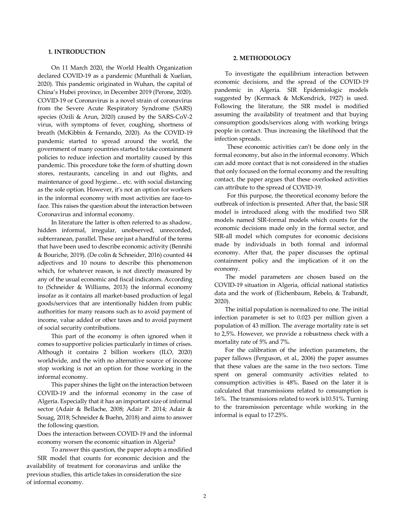# **1. INTRODUCTION**

On 11 March 2020, the World Health Organization declared COVID-19 as a pandemic (Munthali & Xuelian, 2020). This pandemic originated in Wuhan, the capital of China's Hubei province, in December 2019 (Perone, 2020). COVID-19 or Coronavirus is a novel strain of coronavirus from the Severe Acute Respiratory Syndrome (SARS) species (Ozili & Arun, 2020) caused by the SARS-CoV-2 virus, with symptoms of fever, coughing, shortness of breath (McKibbin & Fernando, 2020). As the COVID-19 pandemic started to spread around the world, the government of many countries started to take containment policies to reduce infection and mortality caused by this pandemic. This procedure toke the form of shutting down stores, restaurants, canceling in and out flights, and maintenance of good hygiene... etc. with social distancing as the sole option. However, it's not an option for workers in the informal economy with most activities are face-toface. This raises the question about the interaction between Coronavirus and informal economy.

In literature the latter is often referred to as shadow, hidden informal, irregular, unobserved, unrecorded, subterranean, parallel. These are just a handful of the terms that have been used to describe economic activity (Bennihi & Bouriche, 2019). (De colin & Schneider, 2016) counted 44 adjectives and 10 nouns to describe this phenomenon which, for whatever reason, is not directly measured by any of the usual economic and fiscal indicators. According to (Schneider & Williams, 2013) the informal economy insofar as it contains all market-based production of legal goods/services that are intentionally hidden from public authorities for many reasons such as to avoid payment of income, value added or other taxes and to avoid payment of social security contributions.

This part of the economy is often ignored when it comes to supportive policies particularly in times of crises. Although it contains 2 billion workers (ILO, 2020) worldwide, and the with no alternative source of income stop working is not an option for those working in the informal economy.

This paper shines the light on the interaction between COVID-19 and the informal economy in the case of Algeria. Especially that it has an important size of informal sector (Adair & Bellache, 2008; Adair P. 2014; Adair & Souag, 2018; Schneider & Buehn, 2018) and aims to answer the following question.

Does the interaction between COVID-19 and the informal economy worsen the economic situation in Algeria?

To answer this question, the paper adopts a modified SIR model that counts for economic decision and the availability of treatment for coronavirus and unlike the previous studies, this article takes in consideration the size of informal economy.

## **2. METHODOLOGY**

To investigate the equilibrium interaction between economic decisions, and the spread of the COVID-19 pandemic in Algeria. SIR Epidemiologic models suggested by (Kermack & McKendrick, 1927) is used. Following the literature, the SIR model is modified assuming the availability of treatment and that buying consumption goods/services along with working brings people in contact. Thus increasing the likelihood that the infection spreads.

These economic activities can't be done only in the formal economy, but also in the informal economy. Which can add more contact that is not considered in the studies that only focused on the formal economy and the resulting contact, the paper argues that these overlooked activities can attribute to the spread of COVID-19.

For this purpose, the theoretical economy before the outbreak of infection is presented. After that, the basic SIR model is introduced along with the modified two SIR models named SIR-formal models which counts for the economic decisions made only in the formal sector, and SIR-all model which computes for economic decisions made by individuals in both formal and informal economy. After that, the paper discusses the optimal containment policy and the implication of it on the economy.

The model parameters are chosen based on the COVID-19 situation in Algeria, official national statistics data and the work of (Eichenbaum, Rebelo, & Trabandt, 2020).

The initial population is normalized to one. The initial infection parameter is set to 0.023 per million given a population of 43 million. The average mortality rate is set to 2,5%. However, we provide a robustness check with a mortality rate of 5% and 7%.

For the calibration of the infection parameters, the paper fallows (Ferguson, et al., 2006) the paper assumes that these values are the same in the two sectors. Time spent on general community activities related to consumption activities is 48%. Based on the later it is calculated that transmissions related to consumption is 16%. The transmissions related to work is10.51%. Turning to the transmission percentage while working in the informal is equal to 17.25%.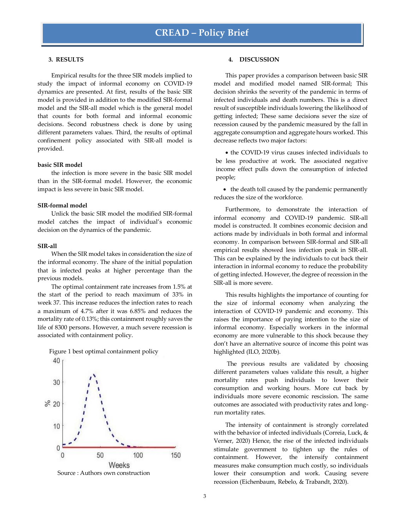#### **3. RESULTS**

Empirical results for the three SIR models implied to study the impact of informal economy on COVID-19 dynamics are presented. At first, results of the basic SIR model is provided in addition to the modified SIR-formal model and the SIR-all model which is the general model that counts for both formal and informal economic decisions. Second robustness check is done by using different parameters values. Third, the results of optimal confinement policy associated with SIR-all model is provided.

## **basic SIR model**

the infection is more severe in the basic SIR model than in the SIR-formal model. However, the economic impact is less severe in basic SIR model.

#### **SIR-formal model**

Unlick the basic SIR model the modified SIR-formal model catches the impact of individual's economic decision on the dynamics of the pandemic.

#### **SIR-all**

When the SIR model takes in consideration the size of the informal economy. The share of the initial population that is infected peaks at higher percentage than the previous models.

The optimal containment rate increases from 1.5% at the start of the period to reach maximum of 33% in week 37. This increase reduces the infection rates to reach a maximum of 4.7% after it was 6.85% and reduces the mortality rate of 0.13%; this containment roughly saves the life of 8300 persons. However, a much severe recession is associated with containment policy.



model and modified model named SIR-formal; This decision shrinks the severity of the pandemic in terms of infected individuals and death numbers. This is a direct result of susceptible individuals lowering the likelihood of getting infected; These same decisions sever the size of recession caused by the pandemic measured by the fall in aggregate consumption and aggregate hours worked. This decrease reflects two major factors:

This paper provides a comparison between basic SIR

**4. DISCUSSION**

 the COVID-19 virus causes infected individuals to be less productive at work. The associated negative income effect pulls down the consumption of infected people;

• the death toll caused by the pandemic permanently reduces the size of the workforce.

Furthermore, to demonstrate the interaction of informal economy and COVID-19 pandemic. SIR-all model is constructed. It combines economic decision and actions made by individuals in both formal and informal economy. In comparison between SIR-formal and SIR-all empirical results showed less infection peak in SIR-all. This can be explained by the individuals to cut back their interaction in informal economy to reduce the probability of getting infected. However, the degree of recession in the SIR-all is more severe.

This results highlights the importance of counting for the size of informal economy when analyzing the interaction of COVID-19 pandemic and economy. This raises the importance of paying intention to the size of informal economy. Especially workers in the informal economy are more vulnerable to this shock because they don't have an alternative source of income this point was highlighted (ILO, 2020b).

The previous results are validated by choosing different parameters values validate this result, a higher mortality rates push individuals to lower their consumption and working hours. More cut back by individuals more severe economic rescission. The same outcomes are associated with productivity rates and longrun mortality rates.

The intensity of containment is strongly correlated with the behavior of infected individuals (Correia, Luck, & Verner, 2020) Hence, the rise of the infected individuals stimulate government to tighten up the rules of containment. However, the intensify containment measures make consumption much costly, so individuals lower their consumption and work. Causing severe recession (Eichenbaum, Rebelo, & Trabandt, 2020).